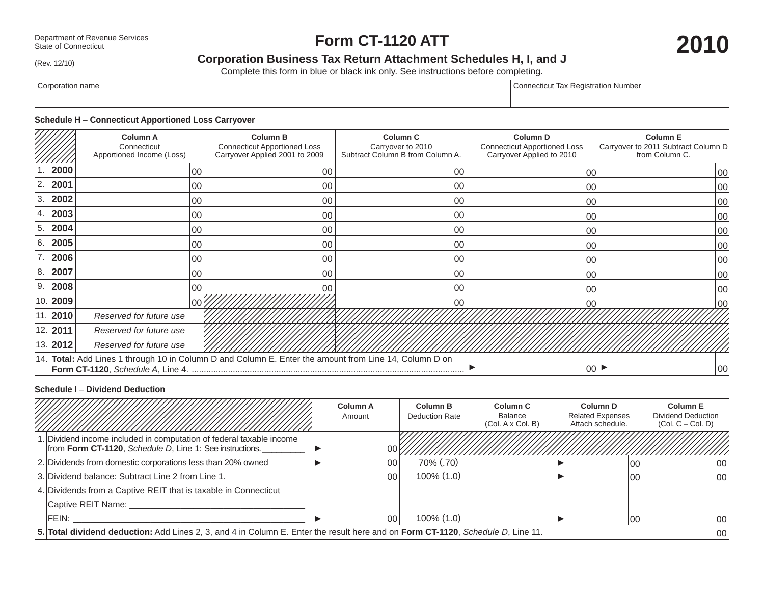# **Form CT-1120 ATT**

(Rev. 12/10)

# **Corporation Business Tax Return Attachment Schedules H, I, and J**

Complete this form in blue or black ink only. See instructions before completing.

Corporation name Corporation name Connecticut Tax Registration Number

# **Schedule H** – **Connecticut Apportioned Loss Carryover**

|              | <b>Column A</b><br>Connecticut<br>Apportioned Income (Loss)                                                          | <b>Column B</b><br><b>Connecticut Apportioned Loss</b><br>Carryover Applied 2001 to 2009 | <b>Column C</b><br>Carryover to 2010<br>Subtract Column B from Column A. | <b>Column D</b><br><b>Connecticut Apportioned Loss</b><br>Carryover Applied to 2010 | <b>Column E</b><br>Carryover to 2011 Subtract Column D<br>from Column C. |  |  |  |  |
|--------------|----------------------------------------------------------------------------------------------------------------------|------------------------------------------------------------------------------------------|--------------------------------------------------------------------------|-------------------------------------------------------------------------------------|--------------------------------------------------------------------------|--|--|--|--|
| 2000         | 00                                                                                                                   | 00                                                                                       | 00                                                                       | 00                                                                                  | 00                                                                       |  |  |  |  |
| 2.<br>2001   | 00                                                                                                                   |                                                                                          | 00<br>00                                                                 | 00                                                                                  | 00                                                                       |  |  |  |  |
| 3<br>2002    | 00                                                                                                                   |                                                                                          | 00<br>00                                                                 | 00                                                                                  | 00 <sup>0</sup>                                                          |  |  |  |  |
| 2003<br>4.   | 00                                                                                                                   |                                                                                          | 00<br>00                                                                 | 00                                                                                  | $00\,$                                                                   |  |  |  |  |
| 5.<br>2004   | 00                                                                                                                   |                                                                                          | 00<br>00                                                                 | 00                                                                                  | 00 <sup>0</sup>                                                          |  |  |  |  |
| 6.<br>2005   | 00                                                                                                                   |                                                                                          | 00<br>00                                                                 | 00                                                                                  | 00                                                                       |  |  |  |  |
| 2006         | 00                                                                                                                   | 00                                                                                       | 00                                                                       | 00                                                                                  | 00                                                                       |  |  |  |  |
| 8.<br>2007   | 00                                                                                                                   |                                                                                          | 00<br>00                                                                 | 00                                                                                  | $00\,$                                                                   |  |  |  |  |
| ' 9.<br>2008 | 00                                                                                                                   |                                                                                          | 00<br>00                                                                 | 00                                                                                  | 00                                                                       |  |  |  |  |
| 2009<br>10.  | 00                                                                                                                   |                                                                                          | 00                                                                       | 00                                                                                  | 00                                                                       |  |  |  |  |
| 11.<br>2010  | Reserved for future use                                                                                              |                                                                                          |                                                                          |                                                                                     |                                                                          |  |  |  |  |
| $ 12. $ 2011 | Reserved for future use                                                                                              |                                                                                          |                                                                          |                                                                                     |                                                                          |  |  |  |  |
| 13.<br>2012  | Reserved for future use                                                                                              |                                                                                          |                                                                          |                                                                                     |                                                                          |  |  |  |  |
|              | 14. Total: Add Lines 1 through 10 in Column D and Column E. Enter the amount from Line 14, Column D on<br> 00 <br>00 |                                                                                          |                                                                          |                                                                                     |                                                                          |  |  |  |  |

### **Schedule I** – **Dividend Deduction**

|                                                                                                                                 |                                                                                                                                  | <b>Column A</b><br>Amount |      | <b>Column B</b><br>Deduction Rate | Column <sub>C</sub><br><b>Balance</b><br>(Col. A x Col. B) | Column D<br><b>Related Expenses</b><br>Attach schedule. |         | <b>Column E</b><br><b>Dividend Deduction</b><br>$(Col. C - Col. D)$ |
|---------------------------------------------------------------------------------------------------------------------------------|----------------------------------------------------------------------------------------------------------------------------------|---------------------------|------|-----------------------------------|------------------------------------------------------------|---------------------------------------------------------|---------|---------------------------------------------------------------------|
|                                                                                                                                 | 1. Dividend income included in computation of federal taxable income<br>from Form CT-1120, Schedule D, Line 1: See instructions. |                           |      |                                   |                                                            |                                                         |         |                                                                     |
|                                                                                                                                 | 2. Dividends from domestic corporations less than 20% owned                                                                      |                           | l OC | 70% (.70)                         |                                                            |                                                         | $_{00}$ | 100                                                                 |
|                                                                                                                                 | 3. Dividend balance: Subtract Line 2 from Line 1.                                                                                |                           | 00   | $100\%$ $(1.0)$                   |                                                            |                                                         | 00      | 100                                                                 |
|                                                                                                                                 | 4. Dividends from a Captive REIT that is taxable in Connecticut                                                                  |                           |      |                                   |                                                            |                                                         |         |                                                                     |
|                                                                                                                                 | Captive REIT Name:                                                                                                               |                           |      |                                   |                                                            |                                                         |         |                                                                     |
|                                                                                                                                 | FEIN:                                                                                                                            |                           | 00   | $100\%$ $(1.0)$                   |                                                            |                                                         | 00      | 100                                                                 |
| 5. Total dividend deduction: Add Lines 2, 3, and 4 in Column E. Enter the result here and on Form CT-1120, Schedule D, Line 11. |                                                                                                                                  |                           |      |                                   | 100                                                        |                                                         |         |                                                                     |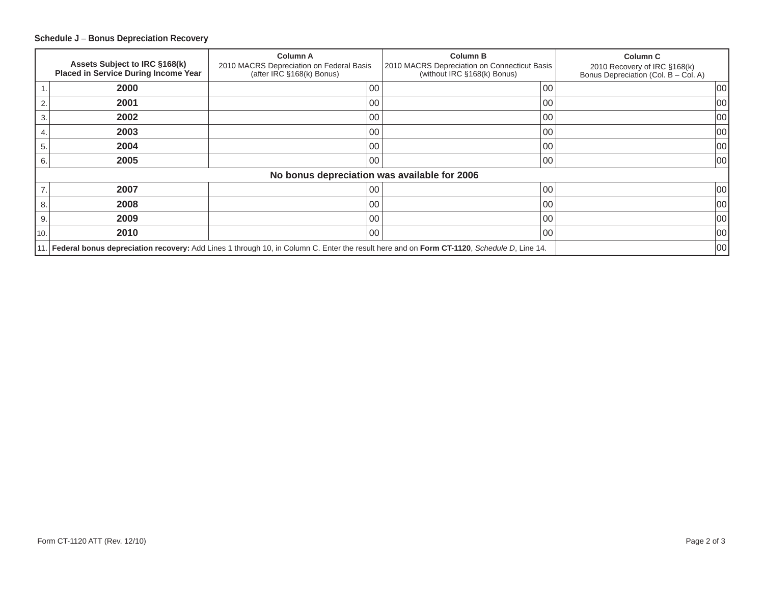## **Schedule J** – **Bonus Depreciation Recovery**

|      | Assets Subject to IRC §168(k)<br><b>Placed in Service During Income Year</b>                                                              | <b>Column A</b><br>2010 MACRS Depreciation on Federal Basis<br>(after IRC §168(k) Bonus) | <b>Column B</b><br>2010 MACRS Depreciation on Connecticut Basis<br>(without IRC §168(k) Bonus) | <b>Column C</b><br>2010 Recovery of IRC §168(k)<br>Bonus Depreciation (Col. B - Col. A) |  |  |  |  |
|------|-------------------------------------------------------------------------------------------------------------------------------------------|------------------------------------------------------------------------------------------|------------------------------------------------------------------------------------------------|-----------------------------------------------------------------------------------------|--|--|--|--|
|      | 2000                                                                                                                                      | 00                                                                                       | 00                                                                                             | $ 00\rangle$                                                                            |  |  |  |  |
| 2.   | 2001                                                                                                                                      | 00                                                                                       | 00                                                                                             | 00                                                                                      |  |  |  |  |
| 3.   | 2002                                                                                                                                      | 00                                                                                       | 00                                                                                             | 00                                                                                      |  |  |  |  |
| 4.   | 2003                                                                                                                                      | 00                                                                                       | 00                                                                                             | 00                                                                                      |  |  |  |  |
| 5.   | 2004                                                                                                                                      | 00                                                                                       | 00                                                                                             | 00                                                                                      |  |  |  |  |
| 6.   | 2005                                                                                                                                      | 00                                                                                       | 00                                                                                             | 00                                                                                      |  |  |  |  |
|      | No bonus depreciation was available for 2006                                                                                              |                                                                                          |                                                                                                |                                                                                         |  |  |  |  |
| 7.   | 2007                                                                                                                                      | 00                                                                                       | 00                                                                                             | 00                                                                                      |  |  |  |  |
| 8.   | 2008                                                                                                                                      | 00                                                                                       | 00                                                                                             | 00                                                                                      |  |  |  |  |
| 9.   | 2009                                                                                                                                      | 00                                                                                       | 00                                                                                             | 00                                                                                      |  |  |  |  |
| 10.  | 2010                                                                                                                                      | l 00                                                                                     | 00                                                                                             | 00                                                                                      |  |  |  |  |
| 11.1 | Federal bonus depreciation recovery: Add Lines 1 through 10, in Column C. Enter the result here and on Form CT-1120, Schedule D, Line 14. | 00                                                                                       |                                                                                                |                                                                                         |  |  |  |  |